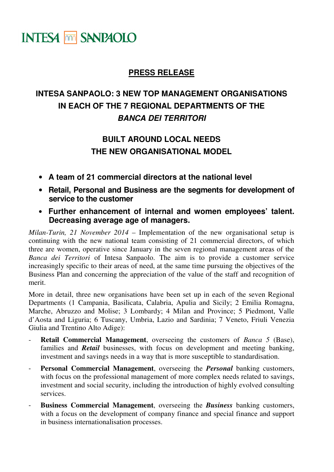## **INTESA MM SANPAOLO**

## **PRESS RELEASE**

## **INTESA SANPAOLO: 3 NEW TOP MANAGEMENT ORGANISATIONS IN EACH OF THE 7 REGIONAL DEPARTMENTS OF THE BANCA DEI TERRITORI**

## **BUILT AROUND LOCAL NEEDS THE NEW ORGANISATIONAL MODEL**

- **A team of 21 commercial directors at the national level**
- **Retail, Personal and Business are the segments for development of service to the customer**
- **Further enhancement of internal and women employees' talent. Decreasing average age of managers.**

*Milan-Turin, 21 November 2014* – Implementation of the new organisational setup is continuing with the new national team consisting of 21 commercial directors, of which three are women, operative since January in the seven regional management areas of the *Banca dei Territori* of Intesa Sanpaolo. The aim is to provide a customer service increasingly specific to their areas of need, at the same time pursuing the objectives of the Business Plan and concerning the appreciation of the value of the staff and recognition of merit.

More in detail, three new organisations have been set up in each of the seven Regional Departments (1 Campania, Basilicata, Calabria, Apulia and Sicily; 2 Emilia Romagna, Marche, Abruzzo and Molise; 3 Lombardy; 4 Milan and Province; 5 Piedmont, Valle d'Aosta and Liguria; 6 Tuscany, Umbria, Lazio and Sardinia; 7 Veneto, Friuli Venezia Giulia and Trentino Alto Adige):

- **Retail Commercial Management**, overseeing the customers of *Banca* 5 (Base), families and *Retail* businesses, with focus on development and meeting banking, investment and savings needs in a way that is more susceptible to standardisation.
- Personal Commercial Management, overseeing the *Personal* banking customers, with focus on the professional management of more complex needs related to savings, investment and social security, including the introduction of highly evolved consulting services.
- **Business Commercial Management**, overseeing the *Business* banking customers, with a focus on the development of company finance and special finance and support in business internationalisation processes.